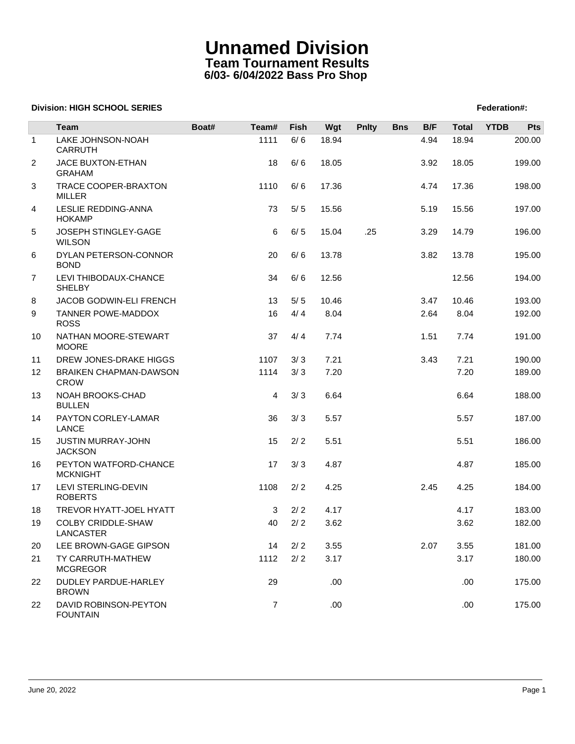# **Unnamed Division Team Tournament Results 6/03- 6/04/2022 Bass Pro Shop**

#### **Division: HIGH SCHOOL SERIES** Federation And The SCHOOL SERIES Federation And The SCHOOL SERIES Federation And The SCHOOL SERIES FEDERATION AND THE SCHOOL SERIES FEDERATION AND THE SCHOOL SERIES FEDERATION AND THE SCHOOL

|                 | <b>Team</b>                                  | Boat# | Team#          | <b>Fish</b> | Wgt   | <b>Pnlty</b> | <b>Bns</b> | B/F  | <b>Total</b> | <b>YTDB</b> | Pts    |
|-----------------|----------------------------------------------|-------|----------------|-------------|-------|--------------|------------|------|--------------|-------------|--------|
| $\mathbf{1}$    | LAKE JOHNSON-NOAH<br><b>CARRUTH</b>          |       | 1111           | 6/6         | 18.94 |              |            | 4.94 | 18.94        |             | 200.00 |
| 2               | JACE BUXTON-ETHAN<br><b>GRAHAM</b>           |       | 18             | 6/6         | 18.05 |              |            | 3.92 | 18.05        |             | 199.00 |
| 3               | TRACE COOPER-BRAXTON<br><b>MILLER</b>        |       | 1110           | 6/6         | 17.36 |              |            | 4.74 | 17.36        |             | 198.00 |
| 4               | LESLIE REDDING-ANNA<br><b>HOKAMP</b>         |       | 73             | 5/5         | 15.56 |              |            | 5.19 | 15.56        |             | 197.00 |
| 5               | JOSEPH STINGLEY-GAGE<br><b>WILSON</b>        |       | 6              | 6/5         | 15.04 | .25          |            | 3.29 | 14.79        |             | 196.00 |
| 6               | DYLAN PETERSON-CONNOR<br><b>BOND</b>         |       | 20             | 6/6         | 13.78 |              |            | 3.82 | 13.78        |             | 195.00 |
| 7               | LEVI THIBODAUX-CHANCE<br><b>SHELBY</b>       |       | 34             | 6/6         | 12.56 |              |            |      | 12.56        |             | 194.00 |
| 8               | JACOB GODWIN-ELI FRENCH                      |       | 13             | 5/5         | 10.46 |              |            | 3.47 | 10.46        |             | 193.00 |
| 9               | TANNER POWE-MADDOX<br><b>ROSS</b>            |       | 16             | 4/4         | 8.04  |              |            | 2.64 | 8.04         |             | 192.00 |
| 10              | NATHAN MOORE-STEWART<br><b>MOORE</b>         |       | 37             | 4/4         | 7.74  |              |            | 1.51 | 7.74         |             | 191.00 |
| 11              | DREW JONES-DRAKE HIGGS                       |       | 1107           | 3/3         | 7.21  |              |            | 3.43 | 7.21         |             | 190.00 |
| 12 <sup>2</sup> | <b>BRAIKEN CHAPMAN-DAWSON</b><br><b>CROW</b> |       | 1114           | 3/3         | 7.20  |              |            |      | 7.20         |             | 189.00 |
| 13              | NOAH BROOKS-CHAD<br><b>BULLEN</b>            |       | $\overline{4}$ | 3/3         | 6.64  |              |            |      | 6.64         |             | 188.00 |
| 14              | PAYTON CORLEY-LAMAR<br><b>LANCE</b>          |       | 36             | 3/3         | 5.57  |              |            |      | 5.57         |             | 187.00 |
| 15              | JUSTIN MURRAY-JOHN<br><b>JACKSON</b>         |       | 15             | 2/2         | 5.51  |              |            |      | 5.51         |             | 186.00 |
| 16              | PEYTON WATFORD-CHANCE<br><b>MCKNIGHT</b>     |       | 17             | 3/3         | 4.87  |              |            |      | 4.87         |             | 185.00 |
| 17              | LEVI STERLING-DEVIN<br><b>ROBERTS</b>        |       | 1108           | 2/2         | 4.25  |              |            | 2.45 | 4.25         |             | 184.00 |
| 18              | TREVOR HYATT-JOEL HYATT                      |       | 3              | 2/2         | 4.17  |              |            |      | 4.17         |             | 183.00 |
| 19              | <b>COLBY CRIDDLE-SHAW</b><br>LANCASTER       |       | 40             | 2/2         | 3.62  |              |            |      | 3.62         |             | 182.00 |
| 20              | LEE BROWN-GAGE GIPSON                        |       | 14             | 2/2         | 3.55  |              |            | 2.07 | 3.55         |             | 181.00 |
| 21              | TY CARRUTH-MATHEW<br><b>MCGREGOR</b>         |       | 1112           | 2/2         | 3.17  |              |            |      | 3.17         |             | 180.00 |
| 22              | DUDLEY PARDUE-HARLEY<br><b>BROWN</b>         |       | 29             |             | .00.  |              |            |      | .00.         |             | 175.00 |
| 22              | DAVID ROBINSON-PEYTON<br><b>FOUNTAIN</b>     |       | 7              |             | .00   |              |            |      | .00          |             | 175.00 |